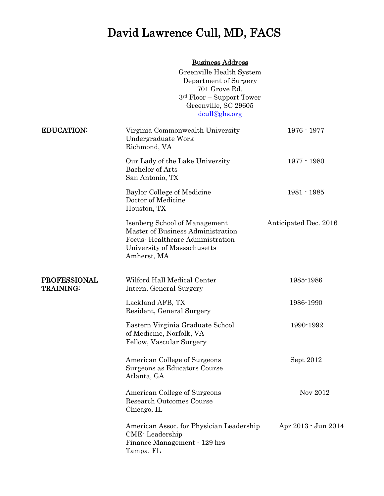# David Lawrence Cull, MD, FACS

## Business Address

|                                         | Greenville Health System<br>Department of Surgery<br>701 Grove Rd.<br>$3rd$ Floor – Support Tower<br>Greenville, SC 29605<br>dcull@ghs.org          |                       |
|-----------------------------------------|-----------------------------------------------------------------------------------------------------------------------------------------------------|-----------------------|
| <b>EDUCATION:</b>                       | Virginia Commonwealth University<br>Undergraduate Work<br>Richmond, VA                                                                              | $1976 - 1977$         |
|                                         | Our Lady of the Lake University<br><b>Bachelor</b> of Arts<br>San Antonio, TX                                                                       | $1977 - 1980$         |
|                                         | Baylor College of Medicine<br>Doctor of Medicine<br>Houston, TX                                                                                     | $1981 - 1985$         |
|                                         | Isenberg School of Management<br>Master of Business Administration<br>Focus-Healthcare Administration<br>University of Massachusetts<br>Amherst, MA | Anticipated Dec. 2016 |
| <b>PROFESSIONAL</b><br><b>TRAINING:</b> | Wilford Hall Medical Center<br>Intern, General Surgery                                                                                              | 1985-1986             |
|                                         | Lackland AFB, TX<br>Resident, General Surgery                                                                                                       | 1986-1990             |
|                                         | Eastern Virginia Graduate School<br>of Medicine, Norfolk, VA<br>Fellow, Vascular Surgery                                                            | 1990-1992             |
|                                         | American College of Surgeons<br>Surgeons as Educators Course<br>Atlanta, GA                                                                         | Sept 2012             |
|                                         | American College of Surgeons<br><b>Research Outcomes Course</b><br>Chicago, IL                                                                      | Nov 2012              |
|                                         | American Assoc. for Physician Leadership<br>CME-Leadership<br>Finance Management · 129 hrs<br>Tampa, FL                                             | Apr 2013 - Jun 2014   |
|                                         |                                                                                                                                                     |                       |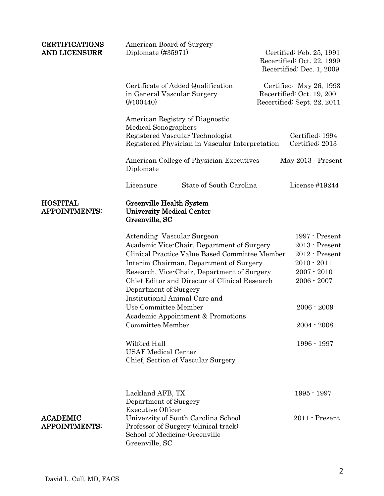| <b>CERTIFICATIONS</b><br>AND LICENSURE  | American Board of Surgery<br>Diplomate $(\#35971)$                                                                                                                                                                                                                                                                                                                                                                                                                                                                  | Certified: Feb. 25, 1991<br>Recertified: Oct. 22, 1999<br>Recertified: Dec. 1, 2009                                                                      |
|-----------------------------------------|---------------------------------------------------------------------------------------------------------------------------------------------------------------------------------------------------------------------------------------------------------------------------------------------------------------------------------------------------------------------------------------------------------------------------------------------------------------------------------------------------------------------|----------------------------------------------------------------------------------------------------------------------------------------------------------|
|                                         | Certificate of Added Qualification<br>in General Vascular Surgery<br>$(\#100440)$                                                                                                                                                                                                                                                                                                                                                                                                                                   | Certified: May 26, 1993<br>Recertified: Oct. 19, 2001<br>Recertified: Sept. 22, 2011                                                                     |
|                                         | American Registry of Diagnostic<br><b>Medical Sonographers</b><br>Registered Vascular Technologist<br>Registered Physician in Vascular Interpretation                                                                                                                                                                                                                                                                                                                                                               | Certified: 1994<br>Certified: 2013                                                                                                                       |
|                                         | American College of Physician Executives<br>Diplomate                                                                                                                                                                                                                                                                                                                                                                                                                                                               | May 2013 - Present                                                                                                                                       |
|                                         | State of South Carolina<br>Licensure                                                                                                                                                                                                                                                                                                                                                                                                                                                                                | License #19244                                                                                                                                           |
| <b>HOSPITAL</b><br><b>APPOINTMENTS:</b> | Greenville Health System<br><b>University Medical Center</b><br>Greenville, SC                                                                                                                                                                                                                                                                                                                                                                                                                                      |                                                                                                                                                          |
|                                         | <b>Attending Vascular Surgeon</b><br>Academic Vice-Chair, Department of Surgery<br>Clinical Practice Value Based Committee Member<br>Interim Chairman, Department of Surgery<br>Research, Vice-Chair, Department of Surgery<br>Chief Editor and Director of Clinical Research<br>Department of Surgery<br>Institutional Animal Care and<br>Use Committee Member<br>Academic Appointment & Promotions<br><b>Committee Member</b><br>Wilford Hall<br><b>USAF Medical Center</b><br>Chief, Section of Vascular Surgery | 1997 - Present<br>2013 - Present<br>2012 - Present<br>$2010 - 2011$<br>$2007 - 2010$<br>$2006 - 2007$<br>$2006 - 2009$<br>$2004 - 2008$<br>$1996 - 1997$ |
| <b>ACADEMIC</b><br><b>APPOINTMENTS:</b> | Lackland AFB, TX<br>Department of Surgery<br><b>Executive Officer</b><br>University of South Carolina School<br>Professor of Surgery (clinical track)<br>School of Medicine-Greenville<br>Greenville, SC                                                                                                                                                                                                                                                                                                            | $1995 - 1997$<br>$2011$ - Present                                                                                                                        |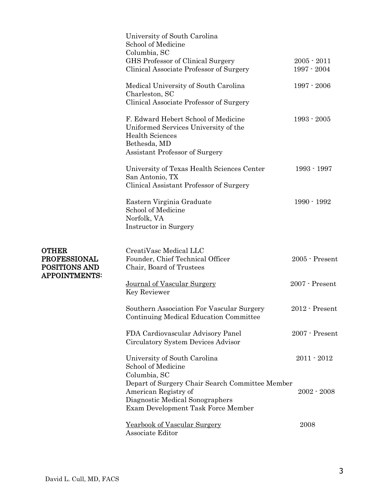|                                                                                     | University of South Carolina<br>School of Medicine<br>Columbia, SC                                                                                               |                                |
|-------------------------------------------------------------------------------------|------------------------------------------------------------------------------------------------------------------------------------------------------------------|--------------------------------|
|                                                                                     | GHS Professor of Clinical Surgery<br>Clinical Associate Professor of Surgery                                                                                     | $2005 - 2011$<br>$1997 - 2004$ |
|                                                                                     | Medical University of South Carolina<br>Charleston, SC<br>Clinical Associate Professor of Surgery                                                                | $1997 - 2006$                  |
|                                                                                     | F. Edward Hebert School of Medicine<br>Uniformed Services University of the<br><b>Health Sciences</b><br>Bethesda, MD<br>Assistant Professor of Surgery          | $1993 - 2005$                  |
|                                                                                     | University of Texas Health Sciences Center<br>San Antonio, TX<br>Clinical Assistant Professor of Surgery                                                         | $1993 - 1997$                  |
|                                                                                     | Eastern Virginia Graduate<br>School of Medicine<br>Norfolk, VA<br>Instructor in Surgery                                                                          | $1990 - 1992$                  |
| <b>OTHER</b><br><b>PROFESSIONAL</b><br><b>POSITIONS AND</b><br><b>APPOINTMENTS:</b> | CreatiVasc Medical LLC<br>Founder, Chief Technical Officer<br>Chair, Board of Trustees                                                                           | 2005 - Present                 |
|                                                                                     | Journal of Vascular Surgery<br>Key Reviewer                                                                                                                      | 2007 - Present                 |
|                                                                                     | Southern Association For Vascular Surgery<br>Continuing Medical Education Committee                                                                              | 2012 - Present                 |
|                                                                                     | FDA Cardiovascular Advisory Panel<br>Circulatory System Devices Advisor                                                                                          | $2007$ - Present               |
|                                                                                     | University of South Carolina<br>School of Medicine                                                                                                               | $2011 - 2012$                  |
|                                                                                     | Columbia, SC<br>Depart of Surgery Chair Search Committee Member<br>American Registry of<br>Diagnostic Medical Sonographers<br>Exam Development Task Force Member | $2002 - 2008$                  |
|                                                                                     | Yearbook of Vascular Surgery<br>Associate Editor                                                                                                                 | 2008                           |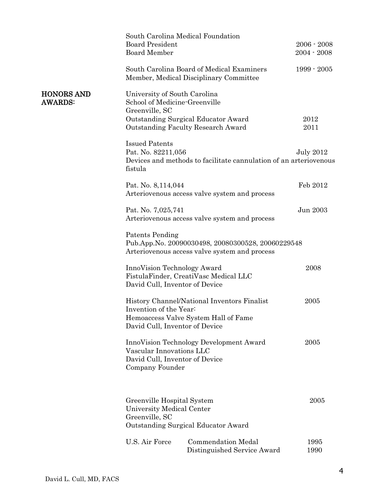|                                     | <b>Board President</b><br><b>Board Member</b>                                   | South Carolina Medical Foundation                                                                  | $2006 - 2008$<br>$2004 - 2008$ |
|-------------------------------------|---------------------------------------------------------------------------------|----------------------------------------------------------------------------------------------------|--------------------------------|
|                                     |                                                                                 | South Carolina Board of Medical Examiners<br>Member, Medical Disciplinary Committee                | $1999 - 2005$                  |
| <b>HONORS AND</b><br><b>AWARDS:</b> | University of South Carolina<br>School of Medicine-Greenville<br>Greenville, SC |                                                                                                    |                                |
|                                     |                                                                                 | Outstanding Surgical Educator Award<br><b>Outstanding Faculty Research Award</b>                   | 2012<br>2011                   |
|                                     | <b>Issued Patents</b><br>Pat. No. 82211,056<br>fistula                          | Devices and methods to facilitate cannulation of an arteriovenous                                  | <b>July 2012</b>               |
|                                     | Pat. No. 8,114,044                                                              | Arteriovenous access valve system and process                                                      | Feb 2012                       |
|                                     | Pat. No. 7,025,741                                                              | Arteriovenous access valve system and process                                                      | Jun 2003                       |
|                                     | Patents Pending                                                                 | Pub.App.No. 20090030498, 20080300528, 20060229548<br>Arteriovenous access valve system and process |                                |
|                                     | InnoVision Technology Award<br>David Cull, Inventor of Device                   | FistulaFinder, CreatiVasc Medical LLC                                                              | 2008                           |
|                                     | Invention of the Year:<br>David Cull, Inventor of Device                        | History Channel/National Inventors Finalist<br>Hemoaccess Valve System Hall of Fame                | 2005                           |
|                                     | Vascular Innovations LLC<br>David Cull, Inventor of Device<br>Company Founder   | InnoVision Technology Development Award                                                            | 2005                           |
|                                     | Greenville Hospital System<br>University Medical Center<br>Greenville, SC       | Outstanding Surgical Educator Award                                                                | 2005                           |
|                                     | U.S. Air Force                                                                  | <b>Commendation Medal</b><br>Distinguished Service Award                                           | 1995<br>1990                   |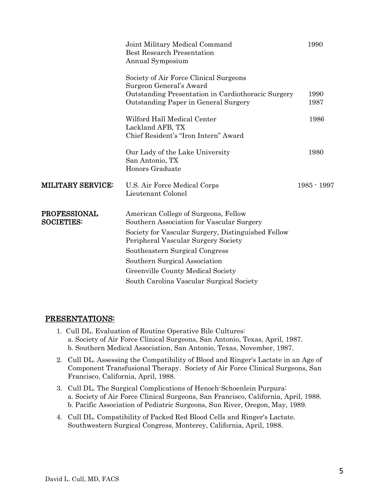|                                          | Joint Military Medical Command<br><b>Best Research Presentation</b><br>Annual Symposium    | 1990          |  |
|------------------------------------------|--------------------------------------------------------------------------------------------|---------------|--|
|                                          | Society of Air Force Clinical Surgeons<br>Surgeon General's Award                          |               |  |
|                                          | Outstanding Presentation in Cardiothoracic Surgery<br>Outstanding Paper in General Surgery | 1990<br>1987  |  |
|                                          | Wilford Hall Medical Center<br>Lackland AFB, TX<br>Chief Resident's "Iron Intern" Award    | 1986          |  |
|                                          | Our Lady of the Lake University<br>San Antonio, TX<br>Honors Graduate                      | 1980          |  |
| <b>MILITARY SERVICE:</b>                 | U.S. Air Force Medical Corps<br>Lieutenant Colonel                                         | $1985 - 1997$ |  |
| <b>PROFESSIONAL</b><br><b>SOCIETIES:</b> | American College of Surgeons, Fellow<br>Southern Association for Vascular Surgery          |               |  |
|                                          | Society for Vascular Surgery, Distinguished Fellow<br>Peripheral Vascular Surgery Society  |               |  |
|                                          | Southeastern Surgical Congress                                                             |               |  |
|                                          | Southern Surgical Association                                                              |               |  |
|                                          | Greenville County Medical Society                                                          |               |  |
|                                          | South Carolina Vascular Surgical Society                                                   |               |  |
|                                          |                                                                                            |               |  |

#### PRESENTATIONS:

- 1. Cull DL. Evaluation of Routine Operative Bile Cultures: a. Society of Air Force Clinical Surgeons, San Antonio, Texas, April, 1987. b. Southern Medical Association, San Antonio, Texas, November, 1987.
- 2. Cull DL. Assessing the Compatibility of Blood and Ringer's Lactate in an Age of Component Transfusional Therapy. Society of Air Force Clinical Surgeons, San Francisco, California, April, 1988.
- 3. Cull DL. The Surgical Complications of Henoch-Schoenlein Purpura: a. Society of Air Force Clinical Surgeons, San Francisco, California, April, 1988. b. Pacific Association of Pediatric Surgeons, Sun River, Oregon, May, 1989.
- 4. Cull DL. Compatibility of Packed Red Blood Cells and Ringer's Lactate. Southwestern Surgical Congress, Monterey, California, April, 1988.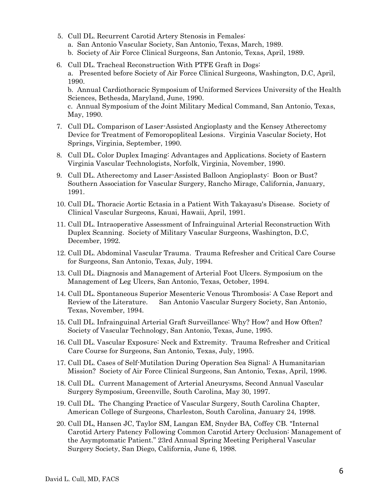- 5. Cull DL. Recurrent Carotid Artery Stenosis in Females:
	- a. San Antonio Vascular Society, San Antonio, Texas, March, 1989.
	- b. Society of Air Force Clinical Surgeons, San Antonio, Texas, April, 1989.
- 6. Cull DL. Tracheal Reconstruction With PTFE Graft in Dogs: a. Presented before Society of Air Force Clinical Surgeons, Washington, D.C, April, 1990.

b. Annual Cardiothoracic Symposium of Uniformed Services University of the Health Sciences, Bethesda, Maryland, June, 1990.

c. Annual Symposium of the Joint Military Medical Command, San Antonio, Texas, May, 1990.

- 7. Cull DL. Comparison of Laser-Assisted Angioplasty and the Kensey Atherectomy Device for Treatment of Femoropopliteal Lesions. Virginia Vascular Society, Hot Springs, Virginia, September, 1990.
- 8. Cull DL. Color Duplex Imaging: Advantages and Applications. Society of Eastern Virginia Vascular Technologists, Norfolk, Virginia, November, 1990.
- 9. Cull DL. Atherectomy and Laser-Assisted Balloon Angioplasty: Boon or Bust? Southern Association for Vascular Surgery, Rancho Mirage, California, January, 1991.
- 10. Cull DL. Thoracic Aortic Ectasia in a Patient With Takayasu's Disease. Society of Clinical Vascular Surgeons, Kauai, Hawaii, April, 1991.
- 11. Cull DL. Intraoperative Assessment of Infrainguinal Arterial Reconstruction With Duplex Scanning. Society of Military Vascular Surgeons, Washington, D.C, December, 1992.
- 12. Cull DL. Abdominal Vascular Trauma. Trauma Refresher and Critical Care Course for Surgeons, San Antonio, Texas, July, 1994.
- 13. Cull DL. Diagnosis and Management of Arterial Foot Ulcers. Symposium on the Management of Leg Ulcers, San Antonio, Texas, October, 1994.
- 14. Cull DL. Spontaneous Superior Mesenteric Venous Thrombosis: A Case Report and Review of the Literature. San Antonio Vascular Surgery Society, San Antonio, Texas, November, 1994.
- 15. Cull DL. Infrainguinal Arterial Graft Surveillance: Why? How? and How Often? Society of Vascular Technology, San Antonio, Texas, June, 1995.
- 16. Cull DL. Vascular Exposure: Neck and Extremity. Trauma Refresher and Critical Care Course for Surgeons, San Antonio, Texas, July, 1995.
- 17. Cull DL. Cases of Self-Mutilation During Operation Sea Signal: A Humanitarian Mission? Society of Air Force Clinical Surgeons, San Antonio, Texas, April, 1996.
- 18. Cull DL. Current Management of Arterial Aneurysms, Second Annual Vascular Surgery Symposium, Greenville, South Carolina, May 30, 1997.
- 19. Cull DL. The Changing Practice of Vascular Surgery, South Carolina Chapter, American College of Surgeons, Charleston, South Carolina, January 24, 1998.
- 20. Cull DL, Hansen JC, Taylor SM, Langan EM, Snyder BA, Coffey CB. "Internal Carotid Artery Patency Following Common Carotid Artery Occlusion: Management of the Asymptomatic Patient." 23rd Annual Spring Meeting Peripheral Vascular Surgery Society, San Diego, California, June 6, 1998.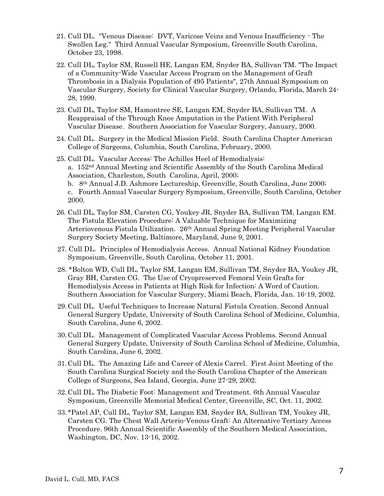- 21. Cull DL. "Venous Disease: DVT, Varicose Veins and Venous Insufficiency The Swollen Leg." Third Annual Vascular Symposium, Greenville South Carolina, October 23, 1998.
- 22. Cull DL, Taylor SM, Russell HE, Langan EM, Snyder BA, Sullivan TM. "The Impact of a Community-Wide Vascular Access Program on the Management of Graft Thrombosis in a Dialysis Population of 495 Patients", 27th Annual Symposium on Vascular Surgery, Society for Clinical Vascular Surgery, Orlando, Florida, March 24- 28, 1999.
- 23. Cull DL, Taylor SM, Hamontree SE, Langan EM, Snyder BA, Sullivan TM. A Reappraisal of the Through Knee Amputation in the Patient With Peripheral Vascular Disease. Southern Association for Vascular Surgery, January, 2000.
- 24. Cull DL. Surgery in the Medical Mission Field. South Carolina Chapter American College of Surgeons, Columbia, South Carolina, February, 2000.
- 25. Cull DL. Vascular Access: The Achilles Heel of Hemodialysis: a. 152nd Annual Meeting and Scientific Assembly of the South Carolina Medical Association, Charleston, South Carolina, April, 2000; b. 8th Annual J.D. Ashmore Lectureship, Greenville, South Carolina, June 2000; c. Fourth Annual Vascular Surgery Symposium, Greenville, South Carolina, October 2000.
- 26. Cull DL, Taylor SM, Carsten CG, Youkey JR, Snyder BA, Sullivan TM, Langan EM. The Fistula Elevation Procedure: A Valuable Technique for Maximizing Arteriovenous Fistula Utilization. 26th Annual Spring Meeting Peripheral Vascular Surgery Society Meeting, Baltimore, Maryland, June 9, 2001.
- 27. Cull DL. Principles of Hemodialysis Access. Annual National Kidney Foundation Symposium, Greenville, South Carolina, October 11, 2001.
- 28. \*Bolton WD, Cull DL, Taylor SM, Langan EM, Sullivan TM, Snyder BA, Youkey JR, Gray BH, Carsten CG. The Use of Cryopreserved Femoral Vein Grafts for Hemodialysis Access in Patients at High Risk for Infection: A Word of Caution. Southern Association for Vascular Surgery, Miami Beach, Florida, Jan. 16-19, 2002.
- 29.Cull DL. Useful Techniques to Increase Natural Fistula Creation. Second Annual General Surgery Update, University of South Carolina School of Medicine, Columbia, South Carolina, June 6, 2002.
- 30.Cull DL. Management of Complicated Vascular Access Problems. Second Annual General Surgery Update, University of South Carolina School of Medicine, Columbia, South Carolina, June 6, 2002.
- 31.Cull DL. The Amazing Life and Career of Alexis Carrel. First Joint Meeting of the South Carolina Surgical Society and the South Carolina Chapter of the American College of Surgeons, Sea Island, Georgia, June 27-29, 2002.
- 32.Cull DL. The Diabetic Foot: Management and Treatment. 6th Annual Vascular Symposium, Greenville Memorial Medical Center, Greenville, SC, Oct. 11, 2002.
- 33. \*Patel AP, Cull DL, Taylor SM, Langan EM, Snyder BA, Sullivan TM, Youkey JR, Carsten CG. The Chest Wall Arterio-Venous Graft: An Alternative Tertiary Access Procedure. 96th Annual Scientific Assembly of the Southern Medical Association, Washington, DC, Nov. 13-16, 2002.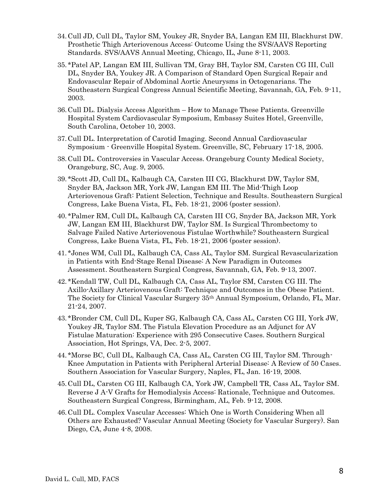- 34.Cull JD, Cull DL, Taylor SM, Youkey JR, Snyder BA, Langan EM III, Blackhurst DW. Prosthetic Thigh Arteriovenous Access: Outcome Using the SVS/AAVS Reporting Standards. SVS/AAVS Annual Meeting, Chicago, IL, June 8-11, 2003.
- 35. \*Patel AP, Langan EM III, Sullivan TM, Gray BH, Taylor SM, Carsten CG III, Cull DL, Snyder BA, Youkey JR. A Comparison of Standard Open Surgical Repair and Endovascular Repair of Abdominal Aortic Aneurysms in Octogenarians. The Southeastern Surgical Congress Annual Scientific Meeting, Savannah, GA, Feb. 9-11, 2003.
- 36.Cull DL. Dialysis Access Algorithm How to Manage These Patients. Greenville Hospital System Cardiovascular Symposium, Embassy Suites Hotel, Greenville, South Carolina, October 10, 2003.
- 37.Cull DL. Interpretation of Carotid Imaging. Second Annual Cardiovascular Symposium - Greenville Hospital System. Greenville, SC, February 17-18, 2005.
- 38.Cull DL. Controversies in Vascular Access. Orangeburg County Medical Society, Orangeburg, SC, Aug. 9, 2005.
- 39. \*Scott JD, Cull DL, Kalbaugh CA, Carsten III CG, Blackhurst DW, Taylor SM, Snyder BA, Jackson MR, York JW, Langan EM III. The Mid-Thigh Loop Arteriovenous Graft: Patient Selection, Technique and Results. Southeastern Surgical Congress, Lake Buena Vista, FL, Feb. 18-21, 2006 (poster session).
- 40. \*Palmer RM, Cull DL, Kalbaugh CA, Carsten III CG, Snyder BA, Jackson MR, York JW, Langan EM III, Blackhurst DW, Taylor SM. Is Surgical Thrombectomy to Salvage Failed Native Arteriovenous Fistulae Worthwhile? Southeastern Surgical Congress, Lake Buena Vista, FL, Feb. 18-21, 2006 (poster session).
- 41. \*Jones WM, Cull DL, Kalbaugh CA, Cass AL, Taylor SM. Surgical Revascularization in Patients with End-Stage Renal Disease: A New Paradigm in Outcomes Assessment. Southeastern Surgical Congress, Savannah, GA, Feb. 9-13, 2007.
- 42. \*Kendall TW, Cull DL, Kalbaugh CA, Cass AL, Taylor SM, Carsten CG III. The Axillo-Axillary Arteriovenous Graft: Technique and Outcomes in the Obese Patient. The Society for Clinical Vascular Surgery 35th Annual Symposium, Orlando, FL, Mar. 21-24, 2007.
- 43. \*Bronder CM, Cull DL, Kuper SG, Kalbaugh CA, Cass AL, Carsten CG III, York JW, Youkey JR, Taylor SM. The Fistula Elevation Procedure as an Adjunct for AV Fistulae Maturation: Experience with 295 Consecutive Cases. Southern Surgical Association, Hot Springs, VA, Dec. 2-5, 2007.
- 44. \*Morse BC, Cull DL, Kalbaugh CA, Cass AL, Carsten CG III, Taylor SM. Through-Knee Amputation in Patients with Peripheral Arterial Disease: A Review of 50 Cases. Southern Association for Vascular Surgery, Naples, FL, Jan. 16-19, 2008.
- 45.Cull DL, Carsten CG III, Kalbaugh CA, York JW, Campbell TR, Cass AL, Taylor SM. Reverse J A-V Grafts for Hemodialysis Access: Rationale, Technique and Outcomes. Southeastern Surgical Congress, Birmingham, AL, Feb. 9-12, 2008.
- 46.Cull DL. Complex Vascular Accesses: Which One is Worth Considering When all Others are Exhausted? Vascular Annual Meeting (Society for Vascular Surgery). San Diego, CA, June 4-8, 2008.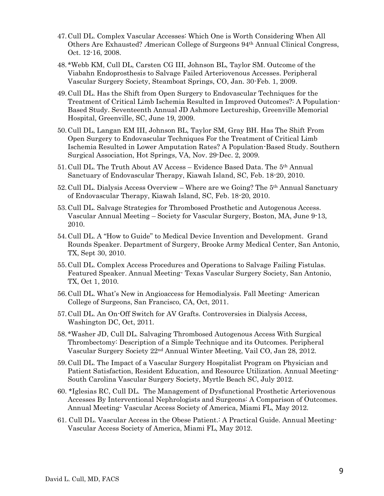- 47.Cull DL. Complex Vascular Accesses: Which One is Worth Considering When All Others Are Exhausted? American College of Surgeons 94th Annual Clinical Congress, Oct. 12-16, 2008.
- 48. \*Webb KM, Cull DL, Carsten CG III, Johnson BL, Taylor SM. Outcome of the Viabahn Endoprosthesis to Salvage Failed Arteriovenous Accesses. Peripheral Vascular Surgery Society, Steamboat Springs, CO, Jan. 30-Feb. 1, 2009.
- 49.Cull DL. Has the Shift from Open Surgery to Endovascular Techniques for the Treatment of Critical Limb Ischemia Resulted in Improved Outcomes?: A Population-Based Study. Seventeenth Annual JD Ashmore Lectureship, Greenville Memorial Hospital, Greenville, SC, June 19, 2009.
- 50.Cull DL, Langan EM III, Johnson BL, Taylor SM, Gray BH. Has The Shift From Open Surgery to Endovascular Techniques For the Treatment of Critical Limb Ischemia Resulted in Lower Amputation Rates? A Population-Based Study. Southern Surgical Association, Hot Springs, VA, Nov. 29-Dec. 2, 2009.
- 51.Cull DL. The Truth About AV Access Evidence Based Data. The 5th Annual Sanctuary of Endovascular Therapy, Kiawah Island, SC, Feb. 18-20, 2010.
- 52.Cull DL. Dialysis Access Overview Where are we Going? The 5th Annual Sanctuary of Endovascular Therapy, Kiawah Island, SC, Feb. 18-20, 2010.
- 53.Cull DL. Salvage Strategies for Thrombosed Prosthetic and Autogenous Access. Vascular Annual Meeting – Society for Vascular Surgery, Boston, MA, June 9-13, 2010.
- 54.Cull DL. A "How to Guide" to Medical Device Invention and Development. Grand Rounds Speaker. Department of Surgery, Brooke Army Medical Center, San Antonio, TX, Sept 30, 2010.
- 55.Cull DL. Complex Access Procedures and Operations to Salvage Failing Fistulas. Featured Speaker. Annual Meeting- Texas Vascular Surgery Society, San Antonio, TX, Oct 1, 2010.
- 56.Cull DL. What's New in Angioaccess for Hemodialysis. Fall Meeting- American College of Surgeons, San Francisco, CA, Oct, 2011.
- 57.Cull DL. An On-Off Switch for AV Grafts. Controversies in Dialysis Access, Washington DC, Oct, 2011.
- 58. \*Washer JD, Cull DL. Salvaging Thrombosed Autogenous Access With Surgical Thrombectomy: Description of a Simple Technique and its Outcomes. Peripheral Vascular Surgery Society 22nd Annual Winter Meeting, Vail CO, Jan 28, 2012.
- 59.Cull DL. The Impact of a Vascular Surgery Hospitalist Program on Physician and Patient Satisfaction, Resident Education, and Resource Utilization. Annual Meeting-South Carolina Vascular Surgery Society, Myrtle Beach SC, July 2012.
- 60. \*Iglesias RC, Cull DL. The Management of Dysfunctional Prosthetic Arteriovenous Accesses By Interventional Nephrologists and Surgeons: A Comparison of Outcomes. Annual Meeting- Vascular Access Society of America, Miami FL, May 2012.
- 61. Cull DL. Vascular Access in the Obese Patient.: A Practical Guide. Annual Meeting-Vascular Access Society of America, Miami FL, May 2012.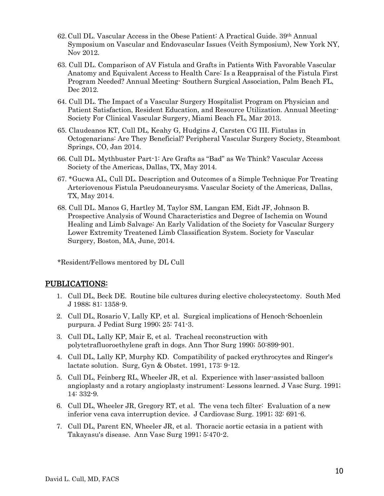- 62.Cull DL. Vascular Access in the Obese Patient: A Practical Guide. 39th Annual Symposium on Vascular and Endovascular Issues (Veith Symposium), New York NY, Nov 2012.
- 63. Cull DL. Comparison of AV Fistula and Grafts in Patients With Favorable Vascular Anatomy and Equivalent Access to Health Care: Is a Reappraisal of the Fistula First Program Needed? Annual Meeting- Southern Surgical Association, Palm Beach FL, Dec 2012.
- 64. Cull DL. The Impact of a Vascular Surgery Hospitalist Program on Physician and Patient Satisfaction, Resident Education, and Resource Utilization. Annual Meeting-Society For Clinical Vascular Surgery, Miami Beach FL, Mar 2013.
- 65. Claudeanos KT, Cull DL, Keahy G, Hudgins J, Carsten CG III. Fistulas in Octogenarians: Are They Beneficial? Peripheral Vascular Surgery Society, Steamboat Springs, CO, Jan 2014.
- 66. Cull DL. Mythbuster Part-1: Are Grafts as "Bad" as We Think? Vascular Access Society of the Americas, Dallas, TX, May 2014.
- 67. \*Gucwa AL, Cull DL. Description and Outcomes of a Simple Technique For Treating Arteriovenous Fistula Pseudoaneurysms. Vascular Society of the Americas, Dallas, TX, May 2014.
- 68. Cull DL. Manos G, Hartley M, Taylor SM, Langan EM, Eidt JF, Johnson B. Prospective Analysis of Wound Characteristics and Degree of Ischemia on Wound Healing and Limb Salvage: An Early Validation of the Society for Vascular Surgery Lower Extremity Treatened Limb Classification System. Society for Vascular Surgery, Boston, MA, June, 2014.

\*Resident/Fellows mentored by DL Cull

#### PUBLICATIONS:

- 1. Cull DL, Beck DE. Routine bile cultures during elective cholecystectomy. South Med J 1988; 81: 1358-9.
- 2. Cull DL, Rosario V, Lally KP, et al. Surgical implications of Henoch-Schoenlein purpura. J Pediat Surg 1990; 25: 741-3.
- 3. Cull DL, Lally KP, Mair E, et al. Tracheal reconstruction with polytetrafluoroethylene graft in dogs. Ann Thor Surg 1990; 50:899-901.
- 4. Cull DL, Lally KP, Murphy KD. Compatibility of packed erythrocytes and Ringer's lactate solution. Surg, Gyn & Obstet. 1991, 173: 9-12.
- 5. Cull DL, Feinberg RL, Wheeler JR, et al. Experience with laser-assisted balloon angioplasty and a rotary angioplasty instrument: Lessons learned. J Vasc Surg. 1991; 14: 332-9.
- 6. Cull DL, Wheeler JR, Gregory RT, et al. The vena tech filter: Evaluation of a new inferior vena cava interruption device. J Cardiovasc Surg. 1991; 32: 691-6.
- 7. Cull DL, Parent EN, Wheeler JR, et al. Thoracic aortic ectasia in a patient with Takayasu's disease. Ann Vasc Surg 1991; 5:470-2.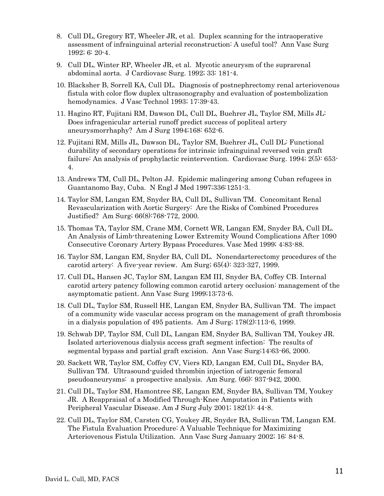- 8. Cull DL, Gregory RT, Wheeler JR, et al. Duplex scanning for the intraoperative assessment of infrainguinal arterial reconstruction: A useful tool? Ann Vasc Surg 1992; 6: 20-4.
- 9. Cull DL, Winter RP, Wheeler JR, et al. Mycotic aneurysm of the suprarenal abdominal aorta. J Cardiovasc Surg. 1992; 33: 181-4.
- 10. Blacksher B, Sorrell KA, Cull DL. Diagnosis of postnephrectomy renal arteriovenous fistula with color flow duplex ultrasonography and evaluation of postembolization hemodynamics. J Vasc Technol 1993; 17:39-43.
- 11. Hagino RT, Fujitani RM, Dawson DL, Cull DL, Buehrer JL, Taylor SM, Mills JL: Does infragenicular arterial runoff predict success of popliteal artery aneurysmorrhaphy? Am J Surg 1994;168: 652-6.
- 12. Fujitani RM, Mills JL, Dawson DL, Taylor SM, Buehrer JL, Cull DL: Functional durability of secondary operations for intrinsic infrainguinal reversed vein graft failure: An analysis of prophylactic reintervention. Cardiovasc Surg. 1994; 2(5): 653- 4.
- 13. Andrews TM, Cull DL, Pelton JJ. Epidemic malingering among Cuban refugees in Guantanomo Bay, Cuba. N Engl J Med 1997;336:1251-3.
- 14. Taylor SM, Langan EM, Snyder BA, Cull DL, Sullivan TM. Concomitant Renal Revascularization with Aortic Surgery: Are the Risks of Combined Procedures Justified? Am Surg; 66(8):768-772, 2000.
- 15. Thomas TA, Taylor SM, Crane MM, Cornett WR, Langan EM, Snyder BA, Cull DL. An Analysis of Limb-threatening Lower Extremity Wound Complications After 1090 Consecutive Coronary Artery Bypass Procedures. Vasc Med 1999; 4:83-88.
- 16. Taylor SM, Langan EM, Snyder BA, Cull DL. Nonendarterectomy procedures of the carotid artery: A five-year review. Am Surg; 65(4): 323-327, 1999.
- 17. Cull DL, Hansen JC, Taylor SM, Langan EM III, Snyder BA, Coffey CB. Internal carotid artery patency following common carotid artery occlusion: management of the asymptomatic patient. Ann Vasc Surg 1999;13:73-6.
- 18. Cull DL, Taylor SM, Russell HE, Langan EM, Snyder BA, Sullivan TM. The impact of a community wide vascular access program on the management of graft thrombosis in a dialysis population of 495 patients. Am J Surg; 178(2):113-6, 1999.
- 19. Schwab DP, Taylor SM, Cull DL, Langan EM, Snyder BA, Sullivan TM, Youkey JR. Isolated arteriovenous dialysis access graft segment infection: The results of segmental bypass and partial graft excision. Ann Vasc Surg;14:63-66, 2000.
- 20. Sackett WR, Taylor SM, Coffey CV, Viers KD, Langan EM, Cull DL, Snyder BA, Sullivan TM. Ultrasound-guided thrombin injection of iatrogenic femoral pseudoaneurysms: a prospective analysis. Am Surg. (66): 937-942, 2000.
- 21. Cull DL, Taylor SM, Hamontree SE, Langan EM, Snyder BA, Sullivan TM, Youkey JR. A Reappraisal of a Modified Through-Knee Amputation in Patients with Peripheral Vascular Disease. Am J Surg July 2001; 182(1): 44-8.
- 22. Cull DL, Taylor SM, Carsten CG, Youkey JR, Snyder BA, Sullivan TM, Langan EM. The Fistula Evaluation Procedure: A Valuable Technique for Maximizing Arteriovenous Fistula Utilization. Ann Vasc Surg January 2002; 16: 84-8.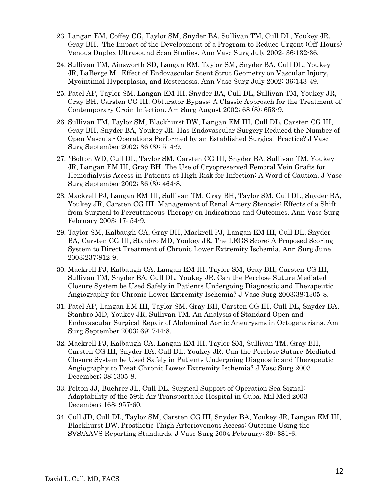- 23. Langan EM, Coffey CG, Taylor SM, Snyder BA, Sullivan TM, Cull DL, Youkey JR, Gray BH. The Impact of the Development of a Program to Reduce Urgent (Off-Hours) Venous Duplex Ultrasound Scan Studies. Ann Vasc Surg July 2002; 36:132-36.
- 24. Sullivan TM, Ainsworth SD, Langan EM, Taylor SM, Snyder BA, Cull DL, Youkey JR, LaBerge M. Effect of Endovascular Stent Strut Geometry on Vascular Injury, Myointimal Hyperplasia, and Restenosis. Ann Vasc Surg July 2002: 36:143-49.
- 25. Patel AP, Taylor SM, Langan EM III, Snyder BA, Cull DL, Sullivan TM, Youkey JR, Gray BH, Carsten CG III. Obturator Bypass: A Classic Approach for the Treatment of Contemporary Groin Infection. Am Surg August 2002; 68 (8): 653-9.
- 26. Sullivan TM, Taylor SM, Blackhurst DW, Langan EM III, Cull DL, Carsten CG III, Gray BH, Snyder BA, Youkey JR. Has Endovascular Surgery Reduced the Number of Open Vascular Operations Performed by an Established Surgical Practice? J Vasc Surg September 2002; 36 (3): 514-9.
- 27. \*Bolton WD, Cull DL, Taylor SM, Carsten CG III, Snyder BA, Sullivan TM, Youkey JR, Langan EM III, Gray BH. The Use of Cryopreserved Femoral Vein Grafts for Hemodialysis Access in Patients at High Risk for Infection: A Word of Caution. J Vasc Surg September 2002; 36 (3): 464-8.
- 28. Mackrell PJ, Langan EM III, Sullivan TM, Gray BH, Taylor SM, Cull DL, Snyder BA, Youkey JR, Carsten CG III. Management of Renal Artery Stenosis: Effects of a Shift from Surgical to Percutaneous Therapy on Indications and Outcomes. Ann Vasc Surg February 2003; 17: 54-9.
- 29. Taylor SM, Kalbaugh CA, Gray BH, Mackrell PJ, Langan EM III, Cull DL, Snyder BA, Carsten CG III, Stanbro MD, Youkey JR. The LEGS Score: A Proposed Scoring System to Direct Treatment of Chronic Lower Extremity Ischemia. Ann Surg June 2003;237:812-9.
- 30. Mackrell PJ, Kalbaugh CA, Langan EM III, Taylor SM, Gray BH, Carsten CG III, Sullivan TM, Snyder BA, Cull DL, Youkey JR. Can the Perclose Suture Mediated Closure System be Used Safely in Patients Undergoing Diagnostic and Therapeutic Angiography for Chronic Lower Extremity Ischemia? J Vasc Surg 2003;38:1305-8.
- 31. Patel AP, Langan EM III, Taylor SM, Gray BH, Carsten CG III, Cull DL, Snyder BA, Stanbro MD, Youkey JR, Sullivan TM. An Analysis of Standard Open and Endovascular Surgical Repair of Abdominal Aortic Aneurysms in Octogenarians. Am Surg September 2003; 69: 744-8.
- 32. Mackrell PJ, Kalbaugh CA, Langan EM III, Taylor SM, Sullivan TM, Gray BH, Carsten CG III, Snyder BA, Cull DL, Youkey JR. Can the Perclose Suture-Mediated Closure System be Used Safely in Patients Undergoing Diagnostic and Therapeutic Angiography to Treat Chronic Lower Extremity Ischemia? J Vasc Surg 2003 December; 38:1305-8.
- 33. Pelton JJ, Buehrer JL, Cull DL. Surgical Support of Operation Sea Signal: Adaptability of the 59th Air Transportable Hospital in Cuba. Mil Med 2003 December; 168: 957-60.
- 34. Cull JD, Cull DL, Taylor SM, Carsten CG III, Snyder BA, Youkey JR, Langan EM III, Blackhurst DW. Prosthetic Thigh Arteriovenous Access: Outcome Using the SVS/AAVS Reporting Standards. J Vasc Surg 2004 February; 39: 381-6.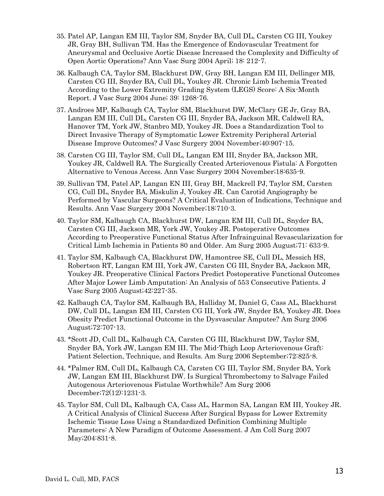- 35. Patel AP, Langan EM III, Taylor SM, Snyder BA, Cull DL, Carsten CG III, Youkey JR, Gray BH, Sullivan TM. Has the Emergence of Endovascular Treatment for Aneurysmal and Occlusive Aortic Disease Increased the Complexity and Difficulty of Open Aortic Operations? Ann Vasc Surg 2004 April; 18: 212-7.
- 36. Kalbaugh CA, Taylor SM, Blackhurst DW, Gray BH, Langan EM III, Dellinger MB, Carsten CG III, Snyder BA, Cull DL, Youkey JR. Chronic Limb Ischemia Treated According to the Lower Extremity Grading System (LEGS) Score: A Six-Month Report. J Vasc Surg 2004 June; 39: 1268-76.
- 37. Androes MP, Kalbaugh CA, Taylor SM, Blackhurst DW, McClary GE Jr, Gray BA, Langan EM III, Cull DL, Carsten CG III, Snyder BA, Jackson MR, Caldwell RA, Hanover TM, York JW, Stanbro MD, Youkey JR. Does a Standardization Tool to Direct Invasive Therapy of Symptomatic Lower Extremity Peripheral Arterial Disease Improve Outcomes? J Vasc Surgery 2004 November;40:907-15.
- 38. Carsten CG III, Taylor SM, Cull DL, Langan EM III, Snyder BA, Jackson MR, Youkey JR, Caldwell RA. The Surgically Created Arteriovenous Fistula: A Forgotten Alternative to Venous Access. Ann Vasc Surgery 2004 November;18:635-9.
- 39. Sullivan TM, Patel AP, Langan EN III, Gray BH, Mackrell PJ, Taylor SM, Carsten CG, Cull DL, Snyder BA, Miskulin J, Youkey JR. Can Carotid Angiography be Performed by Vascular Surgeons? A Critical Evaluation of Indications, Technique and Results. Ann Vasc Surgery 2004 November;18:710-3.
- 40. Taylor SM, Kalbaugh CA, Blackhurst DW, Langan EM III, Cull DL, Snyder BA, Carsten CG III, Jackson MR, York JW, Youkey JR. Postoperative Outcomes According to Preoperative Functional Status After Infrainguinal Revascularization for Critical Limb Ischemia in Patients 80 and Older. Am Surg 2005 August;71: 633-9.
- 41. Taylor SM, Kalbaugh CA, Blackhurst DW, Hamontree SE, Cull DL, Messich HS, Robertson RT, Langan EM III, York JW, Carsten CG III, Snyder BA, Jackson MR, Youkey JR. Preoperative Clinical Factors Predict Postoperative Functional Outcomes After Major Lower Limb Amputation: An Analysis of 553 Consecutive Patients. J Vasc Surg 2005 August;42:227-35.
- 42. Kalbaugh CA, Taylor SM, Kalbaugh BA, Halliday M, Daniel G, Cass AL, Blackhurst DW, Cull DL, Langan EM III, Carsten CG III, York JW, Snyder BA, Youkey JR. Does Obesity Predict Functional Outcome in the Dysvascular Amputee? Am Surg 2006 August;72:707-13.
- 43. \*Scott JD, Cull DL, Kalbaugh CA, Carsten CG III, Blackhurst DW, Taylor SM, Snyder BA, York JW, Langan EM III. The Mid-Thigh Loop Arteriovenous Graft: Patient Selection, Technique, and Results. Am Surg 2006 September;72:825-8.
- 44. \*Palmer RM, Cull DL, Kalbaugh CA, Carsten CG III, Taylor SM, Snyder BA, York JW, Langan EM III, Blackhurst DW. Is Surgical Thrombectomy to Salvage Failed Autogenous Arteriovenous Fistulae Worthwhile? Am Surg 2006 December;72(12):1231-3.
- 45. Taylor SM, Cull DL, Kalbaugh CA, Cass AL, Harmon SA, Langan EM III, Youkey JR. A Critical Analysis of Clinical Success After Surgical Bypass for Lower Extremity Ischemic Tissue Loss Using a Standardized Definition Combining Multiple Parameters: A New Paradigm of Outcome Assessment. J Am Coll Surg 2007 May;204:831-8.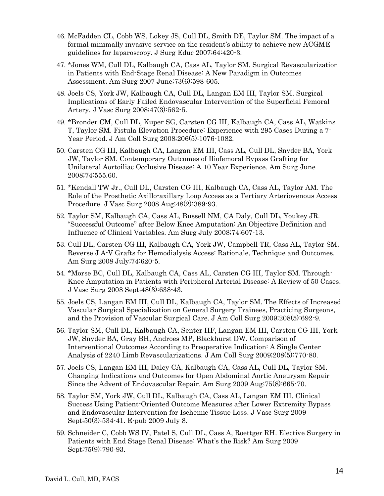- 46. McFadden CL, Cobb WS, Lokey JS, Cull DL, Smith DE, Taylor SM. The impact of a formal minimally invasive service on the resident's ability to achieve new ACGME guidelines for laparoscopy. J Surg Educ 2007;64:420-3.
- 47. \*Jones WM, Cull DL, Kalbaugh CA, Cass AL, Taylor SM. Surgical Revascularization in Patients with End-Stage Renal Disease: A New Paradigm in Outcomes Assessment. Am Surg 2007 June;73(6):598-605.
- 48. Joels CS, York JW, Kalbaugh CA, Cull DL, Langan EM III, Taylor SM. Surgical Implications of Early Failed Endovascular Intervention of the Superficial Femoral Artery. J Vasc Surg 2008;47(3):562-5.
- 49. \*Bronder CM, Cull DL, Kuper SG, Carsten CG III, Kalbaugh CA, Cass AL, Watkins T, Taylor SM. Fistula Elevation Procedure: Experience with 295 Cases During a 7- Year Period. J Am Coll Surg 2008;206(5):1076-1082.
- 50. Carsten CG III, Kalbaugh CA, Langan EM III, Cass AL, Cull DL, Snyder BA, York JW, Taylor SM. Contemporary Outcomes of Iliofemoral Bypass Grafting for Unilateral Aortoiliac Occlusive Disease: A 10 Year Experience. Am Surg June 2008;74:555.60.
- 51. \*Kendall TW Jr., Cull DL, Carsten CG III, Kalbaugh CA, Cass AL, Taylor AM. The Role of the Prosthetic Axillo-axillary Loop Access as a Tertiary Arteriovenous Access Procedure. J Vasc Surg 2008 Aug;48(2):389-93.
- 52. Taylor SM, Kalbaugh CA, Cass AL, Bussell NM, CA Daly, Cull DL, Youkey JR. "Successful Outcome" after Below Knee Amputation: An Objective Definition and Influence of Clinical Variables. Am Surg July 2008;74:607-13.
- 53. Cull DL, Carsten CG III, Kalbaugh CA, York JW, Campbell TR, Cass AL, Taylor SM. Reverse J A-V Grafts for Hemodialysis Access: Rationale, Technique and Outcomes. Am Surg 2008 July;74:620-5.
- 54. \*Morse BC, Cull DL, Kalbaugh CA, Cass AL, Carsten CG III, Taylor SM. Through-Knee Amputation in Patients with Peripheral Arterial Disease: A Review of 50 Cases. J Vasc Surg 2008 Sept;48(3):638-43.
- 55. Joels CS, Langan EM III, Cull DL, Kalbaugh CA, Taylor SM. The Effects of Increased Vascular Surgical Specialization on General Surgery Trainees, Practicing Surgeons, and the Provision of Vascular Surgical Care. J Am Coll Surg 2009;208(5):692-9.
- 56. Taylor SM, Cull DL, Kalbaugh CA, Senter HF, Langan EM III, Carsten CG III, York JW, Snyder BA, Gray BH, Androes MP, Blackhurst DW. Comparison of Interventional Outcomes According to Preoperative Indication: A Single Center Analysis of 2240 Limb Revascularizations. J Am Coll Surg 2009;208(5):770-80.
- 57. Joels CS, Langan EM III, Daley CA, Kalbaugh CA, Cass AL, Cull DL, Taylor SM. Changing Indications and Outcomes for Open Abdominal Aortic Aneurysm Repair Since the Advent of Endovascular Repair. Am Surg 2009 Aug;75(8):665-70.
- 58. Taylor SM, York JW, Cull DL, Kalbaugh CA, Cass AL, Langan EM III. Clinical Success Using Patient-Oriented Outcome Measures after Lower Extremity Bypass and Endovascular Intervention for Ischemic Tissue Loss. J Vasc Surg 2009 Sept;50(3):534-41. E-pub 2009 July 8.
- 59. Schneider C, Cobb WS IV, Patel S, Cull DL, Cass A, Roettger RH. Elective Surgery in Patients with End Stage Renal Disease: What's the Risk? Am Surg 2009 Sept;75(9):790-93.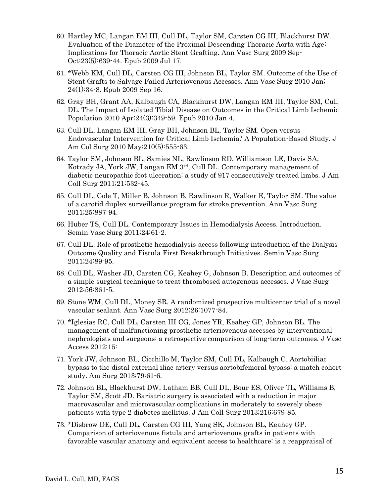- 60. Hartley MC, Langan EM III, Cull DL, Taylor SM, Carsten CG III, Blackhurst DW. Evaluation of the Diameter of the Proximal Descending Thoracic Aorta with Age: Implications for Thoracic Aortic Stent Grafting. Ann Vasc Surg 2009 Sep-Oct;23(5):639-44. Epub 2009 Jul 17.
- 61. \*Webb KM, Cull DL, Carsten CG III, Johnson BL, Taylor SM. Outcome of the Use of Stent Grafts to Salvage Failed Arteriovenous Accesses. Ann Vasc Surg 2010 Jan; 24(1):34-8. Epub 2009 Sep 16.
- 62. Gray BH, Grant AA, Kalbaugh CA, Blackhurst DW, Langan EM III, Taylor SM, Cull DL. The Impact of Isolated Tibial Disease on Outcomes in the Critical Limb Ischemic Population 2010 Apr;24(3):349-59. Epub 2010 Jan 4.
- 63. Cull DL, Langan EM III, Gray BH, Johnson BL, Taylor SM. Open versus Endovascular Intervention for Critical Limb Ischemia? A Population-Based Study. J Am Col Surg 2010 May;210(5):555-63.
- 64. Taylor SM, Johnson BL, Samies NL, Rawlinson RD, Williamson LE, Davis SA, Kotrady JA, York JW, Langan EM 3rd, Cull DL. Contemporary management of diabetic neuropathic foot ulceration: a study of 917 consecutively treated limbs. J Am Coll Surg 2011;21:532-45.
- 65. Cull DL, Cole T, Miller B, Johnson B, Rawlinson R, Walker E, Taylor SM. The value of a carotid duplex surveillance program for stroke prevention. Ann Vasc Surg 2011;25:887-94.
- 66. Huber TS, Cull DL. Contemporary Issues in Hemodialysis Access. Introduction. Semin Vasc Surg 2011;24:61-2.
- 67. Cull DL. Role of prosthetic hemodialysis access following introduction of the Dialysis Outcome Quality and Fistula First Breakthrough Initiatives. Semin Vasc Surg 2011;24:89-95.
- 68. Cull DL, Washer JD, Carsten CG, Keahey G, Johnson B. Description and outcomes of a simple surgical technique to treat thrombosed autogenous accesses. J Vasc Surg 2012;56:861-5.
- 69. Stone WM, Cull DL, Money SR. A randomized prospective multicenter trial of a novel vascular sealant. Ann Vasc Surg 2012;26:1077-84.
- 70. \*Iglesias RC, Cull DL, Carsten III CG, Jones YR, Keahey GP, Johnson BL. The management of malfunctioning prosthetic arteriovenous accesses by interventional nephrologists and surgeons: a retrospective comparison of long-term outcomes. J Vasc Access 2012;15:
- 71. York JW, Johnson BL, Cicchillo M, Taylor SM, Cull DL, Kalbaugh C. Aortobiiliac bypass to the distal external iliac artery versus aortobifemoral bypass: a match cohort study. Am Surg 2013;79:61-6.
- 72. Johnson BL, Blackhurst DW, Latham BB, Cull DL, Bour ES, Oliver TL, Williams B, Taylor SM, Scott JD. Bariatric surgery is associated with a reduction in major macrovascular and microvascular complications in moderately to severely obese patients with type 2 diabetes mellitus. J Am Coll Surg 2013;216:679-85.
- 73. \*Disbrow DE, Cull DL, Carsten CG III, Yang SK, Johnson BL, Keahey GP. Comparison of arteriovenous fistula and arteriovenous grafts in patients with favorable vascular anatomy and equivalent access to healthcare: is a reappraisal of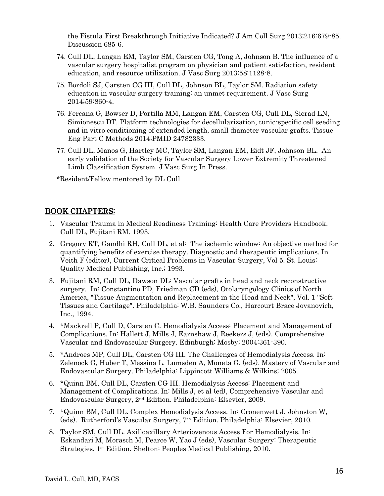the Fistula First Breakthrough Initiative Indicated? J Am Coll Surg 2013;216:679-85. Discussion 685-6.

- 74. Cull DL, Langan EM, Taylor SM, Carsten CG, Tong A, Johnson B. The influence of a vascular surgery hospitalist program on physician and patient satisfaction, resident education, and resource utilization. J Vasc Surg 2013;58:1128-8.
- 75. Bordoli SJ, Carsten CG III, Cull DL, Johnson BL, Taylor SM. Radiation safety education in vascular surgery training: an unmet requirement. J Vasc Surg 2014;59:860-4.
- 76. Fercana G, Bowser D, Portilla MM, Langan EM, Carsten CG, Cull DL, Sierad LN, Simionescu DT. Platform technologies for decellularization, tunic-specific cell seeding and in vitro conditioning of extended length, small diameter vascular grafts. Tissue Eng Part C Methods 2014;PMID 24782333.
- 77. Cull DL, Manos G, Hartley MC, Taylor SM, Langan EM, Eidt JF, Johnson BL. An early validation of the Society for Vascular Surgery Lower Extremity Threatened Limb Classification System. J Vasc Surg In Press.

\*Resident/Fellow mentored by DL Cull

### BOOK CHAPTERS:

- 1. Vascular Trauma in Medical Readiness Training: Health Care Providers Handbook. Cull DL, Fujitani RM. 1993.
- 2. Gregory RT, Gandhi RH, Cull DL, et al: The ischemic window: An objective method for quantifying benefits of exercise therapy. Diagnostic and therapeutic implications. In Veith F (editor), Current Critical Problems in Vascular Surgery, Vol 5. St. Louis: Quality Medical Publishing, Inc.; 1993.
- 3. Fujitani RM, Cull DL, Dawson DL: Vascular grafts in head and neck reconstructive surgery. In: Constantino PD, Friedman CD (eds), Otolaryngology Clinics of North America, "Tissue Augmentation and Replacement in the Head and Neck", Vol. 1 "Soft Tissues and Cartilage". Philadelphia: W.B. Saunders Co., Harcourt Brace Jovanovich, Inc., 1994.
- 4. \*Mackrell P, Cull D, Carsten C. Hemodialysis Access: Placement and Management of Complications. In: Hallett J, Mills J, Earnshaw J, Reekers J, (eds). Comprehensive Vascular and Endovascular Surgery. Edinburgh: Mosby; 2004:361-390.
- 5. \*Androes MP, Cull DL, Carsten CG III. The Challenges of Hemodialysis Access. In: Zelenock G, Huber T, Messina L, Lumsden A, Moneta G, (eds). Mastery of Vascular and Endovascular Surgery. Philadelphia: Lippincott Williams & Wilkins; 2005.
- 6. \*Quinn BM, Cull DL, Carsten CG III. Hemodialysis Access: Placement and Management of Complications. In: Mills J, et al (ed), Comprehensive Vascular and Endovascular Surgery, 2nd Edition. Philadelphia: Elsevier, 2009.
- 7. \*Quinn BM, Cull DL. Complex Hemodialysis Access. In: Cronenwett J, Johnston W, (eds). Rutherford's Vascular Surgery, 7th Edition. Philadelphia: Elsevier, 2010.
- 8. Taylor SM, Cull DL. Axilloaxillary Arteriovenous Access For Hemodialysis. In: Eskandari M, Morasch M, Pearce W, Yao J (eds), Vascular Surgery: Therapeutic Strategies, 1st Edition. Shelton: Peoples Medical Publishing, 2010.